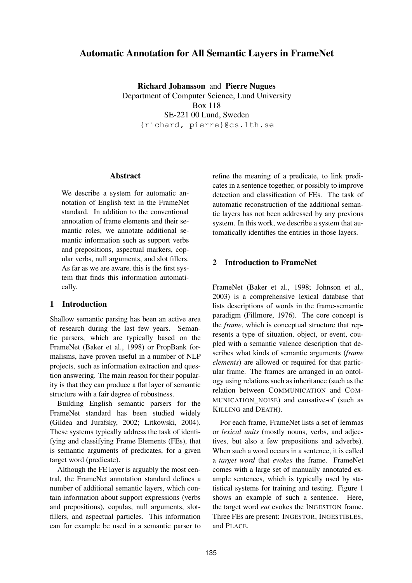# **Automatic Annotation for All Semantic Layers in FrameNet**

**Richard Johansson** and **Pierre Nugues** Department of Computer Science, Lund University Box 118 SE-221 00 Lund, Sweden {richard, pierre}@cs.lth.se

#### **Abstract**

We describe a system for automatic annotation of English text in the FrameNet standard. In addition to the conventional annotation of frame elements and their semantic roles, we annotate additional semantic information such as support verbs and prepositions, aspectual markers, copular verbs, null arguments, and slot fillers. As far as we are aware, this is the first system that finds this information automatically.

### **1 Introduction**

Shallow semantic parsing has been an active area of research during the last few years. Semantic parsers, which are typically based on the FrameNet (Baker et al., 1998) or PropBank formalisms, have proven useful in a number of NLP projects, such as information extraction and question answering. The main reason for their popularity is that they can produce a flat layer of semantic structure with a fair degree of robustness.

Building English semantic parsers for the FrameNet standard has been studied widely (Gildea and Jurafsky, 2002; Litkowski, 2004). These systems typically address the task of identifying and classifying Frame Elements (FEs), that is semantic arguments of predicates, for a given target word (predicate).

Although the FE layer is arguably the most central, the FrameNet annotation standard defines a number of additional semantic layers, which contain information about support expressions (verbs and prepositions), copulas, null arguments, slotfillers, and aspectual particles. This information can for example be used in a semantic parser to

refine the meaning of a predicate, to link predicates in a sentence together, or possibly to improve detection and classification of FEs. The task of automatic reconstruction of the additional semantic layers has not been addressed by any previous system. In this work, we describe a system that automatically identifies the entities in those layers.

## **2 Introduction to FrameNet**

FrameNet (Baker et al., 1998; Johnson et al., 2003) is a comprehensive lexical database that lists descriptions of words in the frame-semantic paradigm (Fillmore, 1976). The core concept is the *frame*, which is conceptual structure that represents a type of situation, object, or event, coupled with a semantic valence description that describes what kinds of semantic arguments (*frame elements*) are allowed or required for that particular frame. The frames are arranged in an ontology using relations such as inheritance (such as the relation between COMMUNICATION and COM-MUNICATION\_NOISE) and causative-of (such as KILLING and DEATH).

For each frame, FrameNet lists a set of lemmas or *lexical units* (mostly nouns, verbs, and adjectives, but also a few prepositions and adverbs). When such a word occurs in a sentence, it is called a *target word* that *evokes* the frame. FrameNet comes with a large set of manually annotated example sentences, which is typically used by statistical systems for training and testing. Figure 1 shows an example of such a sentence. Here, the target word *eat* evokes the INGESTION frame. Three FEs are present: INGESTOR, INGESTIBLES, and PLACE.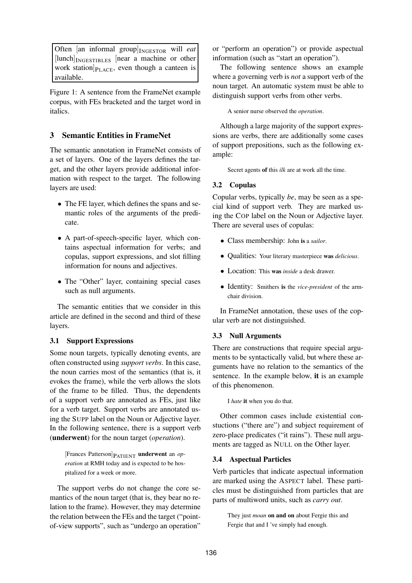Often [an informal group] <sup>I</sup>NGESTOR will *eat* [lunch] INGESTIBLES [near a machine or other work station $]_{P<sub>LACE</sub>}$ , even though a canteen is available.

Figure 1: A sentence from the FrameNet example corpus, with FEs bracketed and the target word in italics.

# **3 Semantic Entities in FrameNet**

The semantic annotation in FrameNet consists of a set of layers. One of the layers defines the target, and the other layers provide additional information with respect to the target. The following layers are used:

- The FE layer, which defines the spans and semantic roles of the arguments of the predicate.
- A part-of-speech-specific layer, which contains aspectual information for verbs; and copulas, support expressions, and slot filling information for nouns and adjectives.
- The "Other" layer, containing special cases such as null arguments.

The semantic entities that we consider in this article are defined in the second and third of these layers.

## **3.1 Support Expressions**

Some noun targets, typically denoting events, are often constructed using *support verbs*. In this case, the noun carries most of the semantics (that is, it evokes the frame), while the verb allows the slots of the frame to be filled. Thus, the dependents of a support verb are annotated as FEs, just like for a verb target. Support verbs are annotated using the SUPP label on the Noun or Adjective layer. In the following sentence, there is a support verb (**underwent**) for the noun target (*operation*).

[Frances Patterson]PATIENT **underwent** an *operation* at RMH today and is expected to be hospitalized for a week or more.

The support verbs do not change the core semantics of the noun target (that is, they bear no relation to the frame). However, they may determine the relation between the FEs and the target ("pointof-view supports", such as "undergo an operation"

or "perform an operation") or provide aspectual information (such as "start an operation").

The following sentence shows an example where a governing verb is *not* a support verb of the noun target. An automatic system must be able to distinguish support verbs from other verbs.

A senior nurse observed the *operation*.

Although a large majority of the support expressions are verbs, there are additionally some cases of support prepositions, such as the following example:

Secret agents **of** this *ilk* are at work all the time.

## **3.2 Copulas**

Copular verbs, typically *be*, may be seen as a special kind of support verb. They are marked using the COP label on the Noun or Adjective layer. There are several uses of copulas:

- Class membership: John **is** <sup>a</sup> *sailor*.
- Qualities: Your literary masterpiece **was** *delicious*.
- Location: This **was** *inside* a desk drawer.
- Identity: Smithers **is** the *vice-president* of the armchair division.

In FrameNet annotation, these uses of the copular verb are not distinguished.

#### **3.3 Null Arguments**

There are constructions that require special arguments to be syntactically valid, but where these arguments have no relation to the semantics of the sentence. In the example below, **it** is an example of this phenomenon.

I *hate* **it** when you do that.

Other common cases include existential constuctions ("there are") and subject requirement of zero-place predicates ("it rains"). These null arguments are tagged as NULL on the Other layer.

### **3.4 Aspectual Particles**

Verb particles that indicate aspectual information are marked using the ASPECT label. These particles must be distinguished from particles that are parts of multiword units, such as *carry out*.

They just *moan* **on and on** about Fergie this and Fergie that and I 've simply had enough.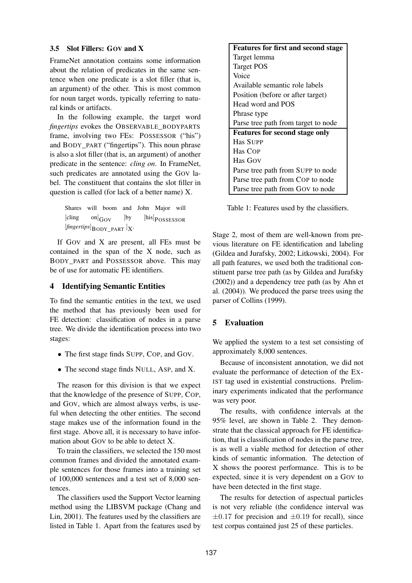#### **3.5 Slot Fillers: GOV and X**

FrameNet annotation contains some information about the relation of predicates in the same sentence when one predicate is a slot filler (that is, an argument) of the other. This is most common for noun target words, typically referring to natural kinds or artifacts.

In the following example, the target word *fingertips* evokes the OBSERVABLE\_BODYPARTS frame, involving two FEs: POSSESSOR ("his") and BODY\_PART ("fingertips"). This noun phrase is also a slot filler (that is, an argument) of another predicate in the sentence: *cling on*. In FrameNet, such predicates are annotated using the GOV label. The constituent that contains the slot filler in question is called (for lack of a better name) X.

> Shares will boom and John Major will  $[\text{cling} \quad on]$  $Gov$   $[$ by  $[\text{his}]$  $\text{possess}$ or  $[\text{fingerprint}]\text{BODY}$ <sub>\_PART</sub>  $]$ <sub>X</sub>.

If GOV and X are present, all FEs must be contained in the span of the X node, such as BODY\_PART and POSSESSOR above. This may be of use for automatic FE identifiers.

### **4 Identifying Semantic Entities**

To find the semantic entities in the text, we used the method that has previously been used for FE detection: classification of nodes in a parse tree. We divide the identification process into two stages:

- The first stage finds SUPP, COP, and GOV.
- The second stage finds NULL, ASP, and X.

The reason for this division is that we expect that the knowledge of the presence of SUPP, COP, and GOV, which are almost always verbs, is useful when detecting the other entities. The second stage makes use of the information found in the first stage. Above all, it is necessary to have information about GOV to be able to detect X.

To train the classifiers, we selected the 150 most common frames and divided the annotated example sentences for those frames into a training set of 100,000 sentences and a test set of 8,000 sentences.

The classifiers used the Support Vector learning method using the LIBSVM package (Chang and Lin, 2001). The features used by the classifiers are listed in Table 1. Apart from the features used by

| <b>Features for first and second stage</b> |  |  |  |  |
|--------------------------------------------|--|--|--|--|
| Target lemma                               |  |  |  |  |
| <b>Target POS</b>                          |  |  |  |  |
| Voice                                      |  |  |  |  |
| Available semantic role labels             |  |  |  |  |
| Position (before or after target)          |  |  |  |  |
| Head word and POS                          |  |  |  |  |
| Phrase type                                |  |  |  |  |
| Parse tree path from target to node        |  |  |  |  |
| <b>Features for second stage only</b>      |  |  |  |  |
| <b>Has SUPP</b>                            |  |  |  |  |
| Has COP                                    |  |  |  |  |
| Has GOV                                    |  |  |  |  |
| Parse tree path from SUPP to node          |  |  |  |  |
| Parse tree path from Cop to node           |  |  |  |  |
| Parse tree path from Gov to node           |  |  |  |  |

Table 1: Features used by the classifiers.

Stage 2, most of them are well-known from previous literature on FE identification and labeling (Gildea and Jurafsky, 2002; Litkowski, 2004). For all path features, we used both the traditional constituent parse tree path (as by Gildea and Jurafsky (2002)) and a dependency tree path (as by Ahn et al. (2004)). We produced the parse trees using the parser of Collins (1999).

# **5 Evaluation**

We applied the system to a test set consisting of approximately 8,000 sentences.

Because of inconsistent annotation, we did not evaluate the performance of detection of the EX-IST tag used in existential constructions. Preliminary experiments indicated that the performance was very poor.

The results, with confidence intervals at the 95% level, are shown in Table 2. They demonstrate that the classical approach for FE identification, that is classification of nodes in the parse tree, is as well a viable method for detection of other kinds of semantic information. The detection of X shows the poorest performance. This is to be expected, since it is very dependent on a GOV to have been detected in the first stage.

The results for detection of aspectual particles is not very reliable (the confidence interval was  $\pm 0.17$  for precision and  $\pm 0.19$  for recall), since test corpus contained just 25 of these particles.